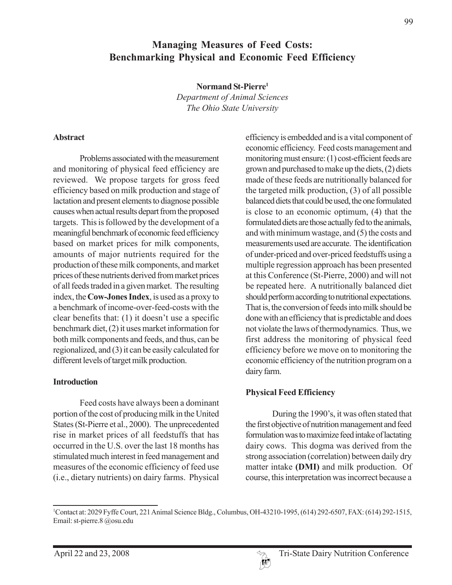1 Contact at: 2029 Fyffe Court, 221 Animal Science Bldg., Columbus, OH-43210-1995, (614) 292-6507, FAX: (614) 292-1515,

## **Managing Measures of Feed Costs: Benchmarking Physical and Economic Feed Efficiency**

**Normand St-Pierre1**

*Department of Animal Sciences The Ohio State University*

#### **Abstract**

Problems associated with the measurement and monitoring of physical feed efficiency are reviewed. We propose targets for gross feed efficiency based on milk production and stage of lactation and present elements to diagnose possible causes when actual results depart from the proposed targets. This is followed by the development of a meaningful benchmark of economic feed efficiency based on market prices for milk components, amounts of major nutrients required for the production of these milk components, and market prices of these nutrients derived from market prices of all feeds traded in a given market. The resulting index, the **Cow-Jones Index**, is used as a proxy to a benchmark of income-over-feed-costs with the clear benefits that: (1) it doesn't use a specific benchmark diet, (2) it uses market information for both milk components and feeds, and thus, can be regionalized, and (3) it can be easily calculated for different levels of target milk production.

#### **Introduction**

Feed costs have always been a dominant portion of the cost of producing milk in the United States (St-Pierre et al., 2000). The unprecedented rise in market prices of all feedstuffs that has occurred in the U.S. over the last 18 months has stimulated much interest in feed management and measures of the economic efficiency of feed use (i.e., dietary nutrients) on dairy farms. Physical efficiency is embedded and is a vital component of economic efficiency. Feed costs management and monitoring must ensure: (1) cost-efficient feeds are grown and purchased to make up the diets, (2) diets made of these feeds are nutritionally balanced for the targeted milk production, (3) of all possible balanced diets that could be used, the one formulated is close to an economic optimum, (4) that the formulated diets are those actually fed to the animals, and with minimum wastage, and (5) the costs and measurements used are accurate. The identification of under-priced and over-priced feedstuffs using a multiple regression approach has been presented at this Conference (St-Pierre, 2000) and will not be repeated here. A nutritionally balanced diet should perform according to nutritional expectations. That is, the conversion of feeds into milk should be done with an efficiency that is predictable and does not violate the laws of thermodynamics. Thus, we first address the monitoring of physical feed efficiency before we move on to monitoring the economic efficiency of the nutrition program on a dairy farm.

## **Physical Feed Efficiency**

During the 1990's, it was often stated that the first objective of nutrition management and feed formulation was to maximize feed intake of lactating dairy cows. This dogma was derived from the strong association (correlation) between daily dry matter intake **(DMI)** and milk production. Of course, this interpretation was incorrect because a

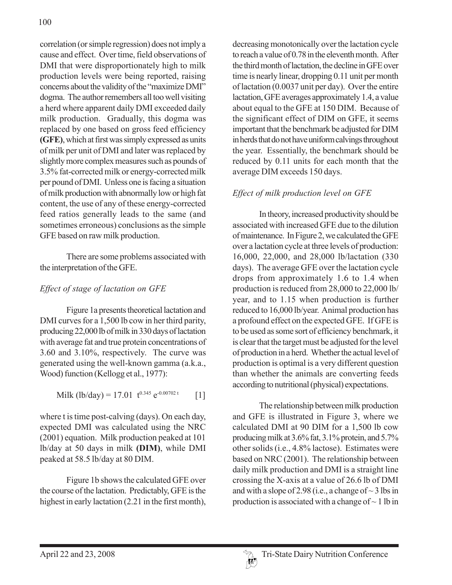correlation (or simple regression) does not imply a cause and effect. Over time, field observations of DMI that were disproportionately high to milk production levels were being reported, raising concerns about the validity of the "maximize DMI" dogma. The author remembers all too well visiting a herd where apparent daily DMI exceeded daily milk production. Gradually, this dogma was replaced by one based on gross feed efficiency **(GFE)**, which at first was simply expressed as units of milk per unit of DMI and later was replaced by slightly more complex measures such as pounds of 3.5% fat-corrected milk or energy-corrected milk per pound of DMI. Unless one is facing a situation of milk production with abnormally low or high fat content, the use of any of these energy-corrected feed ratios generally leads to the same (and sometimes erroneous) conclusions as the simple GFE based on raw milk production.

There are some problems associated with the interpretation of the GFE.

# *Effect of stage of lactation on GFE*

Figure 1a presents theoretical lactation and DMI curves for a 1,500 lb cow in her third parity, producing 22,000 lb of milk in 330 days of lactation with average fat and true protein concentrations of 3.60 and 3.10%, respectively. The curve was generated using the well-known gamma (a.k.a., Wood) function (Kellogg et al., 1977):

Milk (lb/day) = 17.01 
$$
t^{0.345} e^{-0.00702 t}
$$
 [1]

where t is time post-calving (days). On each day, expected DMI was calculated using the NRC (2001) equation. Milk production peaked at 101 lb/day at 50 days in milk **(DIM)**, while DMI peaked at 58.5 lb/day at 80 DIM.

Figure 1b shows the calculated GFE over the course of the lactation. Predictably, GFE is the highest in early lactation (2.21 in the first month),

decreasing monotonically over the lactation cycle to reach a value of 0.78 in the eleventh month. After the third month of lactation, the decline in GFE over time is nearly linear, dropping 0.11 unit per month of lactation (0.0037 unit per day). Over the entire lactation, GFE averages approximately 1.4, a value about equal to the GFE at 150 DIM. Because of the significant effect of DIM on GFE, it seems important that the benchmark be adjusted for DIM in herds that do not have uniform calvings throughout the year. Essentially, the benchmark should be reduced by 0.11 units for each month that the average DIM exceeds 150 days.

## *Effect of milk production level on GFE*

In theory, increased productivity should be associated with increased GFE due to the dilution of maintenance. In Figure 2, we calculated the GFE over a lactation cycle at three levels of production: 16,000, 22,000, and 28,000 lb/lactation (330 days). The average GFE over the lactation cycle drops from approximately 1.6 to 1.4 when production is reduced from 28,000 to 22,000 lb/ year, and to 1.15 when production is further reduced to 16,000 lb/year. Animal production has a profound effect on the expected GFE. If GFE is to be used as some sort of efficiency benchmark, it is clear that the target must be adjusted for the level of production in a herd. Whether the actual level of production is optimal is a very different question than whether the animals are converting feeds according to nutritional (physical) expectations.

The relationship between milk production and GFE is illustrated in Figure 3, where we calculated DMI at 90 DIM for a 1,500 lb cow producing milk at 3.6% fat, 3.1% protein, and 5.7% other solids (i.e., 4.8% lactose). Estimates were based on NRC (2001). The relationship between daily milk production and DMI is a straight line crossing the X-axis at a value of 26.6 lb of DMI and with a slope of 2.98 (i.e., a change of  $\sim$  3 lbs in production is associated with a change of  $\sim$  1 lb in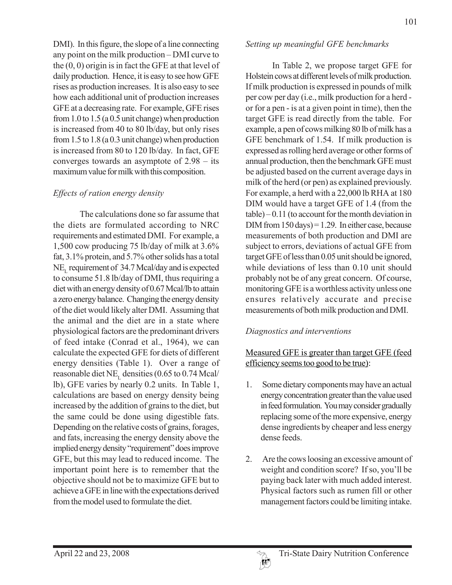DMI). In this figure, the slope of a line connecting any point on the milk production – DMI curve to the (0, 0) origin is in fact the GFE at that level of daily production. Hence, it is easy to see how GFE rises as production increases. It is also easy to see how each additional unit of production increases GFE at a decreasing rate. For example, GFE rises from 1.0 to 1.5 (a 0.5 unit change) when production is increased from 40 to 80 lb/day, but only rises from 1.5 to 1.8 (a 0.3 unit change) when production is increased from 80 to 120 lb/day. In fact, GFE converges towards an asymptote of 2.98 – its maximum value for milk with this composition.

#### *Effects of ration energy density*

The calculations done so far assume that the diets are formulated according to NRC requirements and estimated DMI. For example, a 1,500 cow producing 75 lb/day of milk at 3.6% fat, 3.1% protein, and 5.7% other solids has a total  $NE_{\text{L}}$  requirement of 34.7 Mcal/day and is expected to consume 51.8 lb/day of DMI, thus requiring a diet with an energy density of 0.67 Mcal/lb to attain a zero energy balance. Changing the energy density of the diet would likely alter DMI. Assuming that the animal and the diet are in a state where physiological factors are the predominant drivers of feed intake (Conrad et al., 1964), we can calculate the expected GFE for diets of different energy densities (Table 1). Over a range of reasonable diet NE<sub>r</sub> densities (0.65 to 0.74 Mcal/ lb), GFE varies by nearly 0.2 units. In Table 1, calculations are based on energy density being increased by the addition of grains to the diet, but the same could be done using digestible fats. Depending on the relative costs of grains, forages, and fats, increasing the energy density above the implied energy density "requirement" does improve GFE, but this may lead to reduced income. The important point here is to remember that the objective should not be to maximize GFE but to achieve a GFE in line with the expectations derived from the model used to formulate the diet.

#### *Setting up meaningful GFE benchmarks*

In Table 2, we propose target GFE for Holstein cows at different levels of milk production. If milk production is expressed in pounds of milk per cow per day (i.e., milk production for a herd or for a pen - is at a given point in time), then the target GFE is read directly from the table. For example, a pen of cows milking 80 lb of milk has a GFE benchmark of 1.54. If milk production is expressed as rolling herd average or other forms of annual production, then the benchmark GFE must be adjusted based on the current average days in milk of the herd (or pen) as explained previously. For example, a herd with a 22,000 lb RHA at 180 DIM would have a target GFE of 1.4 (from the table) – 0.11 (to account for the month deviation in DIM from  $150 \text{ days}$  = 1.29. In either case, because measurements of both production and DMI are subject to errors, deviations of actual GFE from target GFE of less than 0.05 unit should be ignored, while deviations of less than 0.10 unit should probably not be of any great concern. Of course, monitoring GFE is a worthless activity unless one ensures relatively accurate and precise measurements of both milk production and DMI.

## *Diagnostics and interventions*

## Measured GFE is greater than target GFE (feed efficiency seems too good to be true):

- 1. Some dietary components may have an actual energy concentration greater than the value used in feed formulation. You may consider gradually replacing some of the more expensive, energy dense ingredients by cheaper and less energy dense feeds.
- 2. Are the cows loosing an excessive amount of weight and condition score? If so, you'll be paying back later with much added interest. Physical factors such as rumen fill or other management factors could be limiting intake.

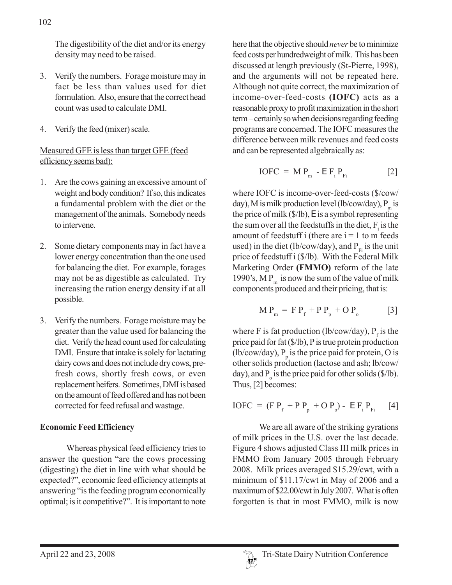- 3. Verify the numbers. Forage moisture may in fact be less than values used for diet formulation. Also, ensure that the correct head count was used to calculate DMI.
- 4. Verify the feed (mixer) scale.

## Measured GFE is less than target GFE (feed efficiency seems bad):

- 1. Are the cows gaining an excessive amount of weight and body condition? If so, this indicates a fundamental problem with the diet or the management of the animals. Somebody needs to intervene.
- 2. Some dietary components may in fact have a lower energy concentration than the one used for balancing the diet. For example, forages may not be as digestible as calculated. Try increasing the ration energy density if at all possible.
- 3. Verify the numbers. Forage moisture may be greater than the value used for balancing the diet. Verify the head count used for calculating DMI. Ensure that intake is solely for lactating dairy cows and does not include dry cows, prefresh cows, shortly fresh cows, or even replacement heifers. Sometimes, DMI is based on the amount of feed offered and has not been corrected for feed refusal and wastage.

# **Economic Feed Efficiency**

Whereas physical feed efficiency tries to answer the question "are the cows processing (digesting) the diet in line with what should be expected?", economic feed efficiency attempts at answering "is the feeding program economically optimal; is it competitive?". It is important to note

here that the objective should *never* be to minimize feed costs per hundredweight of milk. This has been discussed at length previously (St-Pierre, 1998), and the arguments will not be repeated here. Although not quite correct, the maximization of income-over-feed-costs **(IOFC)** acts as a reasonable proxy to profit maximization in the short term – certainly so when decisions regarding feeding programs are concerned. The IOFC measures the difference between milk revenues and feed costs and can be represented algebraically as:

$$
IOFC = MPm - E Fi PFi
$$
 [2]

where IOFC is income-over-feed-costs (\$/cow/ day), M is milk production level (lb/cow/day),  $P_m$  is the price of milk (\$/lb), E is a symbol representing the sum over all the feedstuffs in the diet,  $F_i$  is the amount of feedstuff i (there are  $i = 1$  to m feeds used) in the diet (lb/cow/day), and  $P_{F_i}$  is the unit price of feedstuff i (\$/lb). With the Federal Milk Marketing Order **(FMMO)** reform of the late 1990's, M  $P_m$  is now the sum of the value of milk components produced and their pricing, that is:

$$
M P_m = F P_f + P P_p + O P_o
$$
 [3]

where F is fat production (lb/cow/day),  $P_f$  is the price paid for fat (\$/lb), P is true protein production (lb/cow/day),  $P_p$  is the price paid for protein, O is other solids production (lactose and ash; lb/cow/ day), and  $P_0$  is the price paid for other solids (\$/lb). Thus, [2] becomes:

$$
IOFC = (FPf + PPp + OPo) - EFiPFi [4]
$$

We are all aware of the striking gyrations of milk prices in the U.S. over the last decade. Figure 4 shows adjusted Class III milk prices in FMMO from January 2005 through February 2008. Milk prices averaged \$15.29/cwt, with a minimum of \$11.17/cwt in May of 2006 and a maximum of \$22.00/cwt in July 2007. What is often forgotten is that in most FMMO, milk is now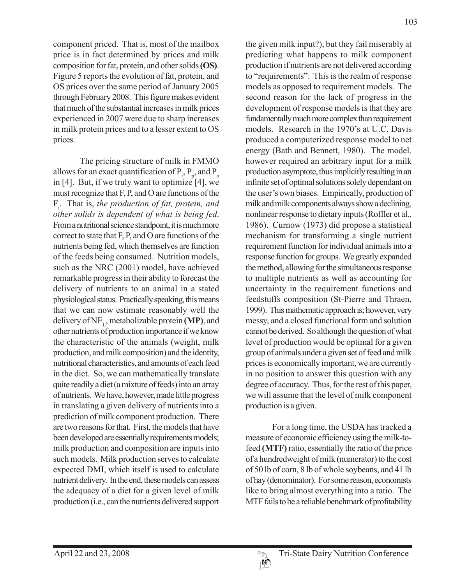component priced. That is, most of the mailbox price is in fact determined by prices and milk composition for fat, protein, and other solids **(OS)**. Figure 5 reports the evolution of fat, protein, and OS prices over the same period of January 2005 through February 2008. This figure makes evident that much of the substantial increases in milk prices experienced in 2007 were due to sharp increases in milk protein prices and to a lesser extent to OS prices.

The pricing structure of milk in FMMO allows for an exact quantification of  $P_p P_p$ , and  $P_o$ in [4]. But, if we truly want to optimize [4], we must recognize that F, P, and O are functions of the Fi . That is, *the production of fat, protein, and other solids is dependent of what is being fed*. From a nutritional science standpoint, it is much more correct to state that F, P, and O are functions of the nutrients being fed, which themselves are function of the feeds being consumed. Nutrition models, such as the NRC (2001) model, have achieved remarkable progress in their ability to forecast the delivery of nutrients to an animal in a stated physiological status. Practically speaking, this means that we can now estimate reasonably well the delivery of NEL, metabolizable protein **(MP)**, and other nutrients of production importance if we know the characteristic of the animals (weight, milk production, and milk composition) and the identity, nutritional characteristics, and amounts of each feed in the diet. So, we can mathematically translate quite readily a diet (a mixture of feeds) into an array of nutrients. We have, however, made little progress in translating a given delivery of nutrients into a prediction of milk component production. There are two reasons for that. First, the models that have been developed are essentially requirements models; milk production and composition are inputs into such models. Milk production serves to calculate expected DMI, which itself is used to calculate nutrient delivery. In the end, these models can assess the adequacy of a diet for a given level of milk production (i.e., can the nutrients delivered support

the given milk input?), but they fail miserably at predicting what happens to milk component production if nutrients are not delivered according to "requirements". This is the realm of response models as opposed to requirement models. The second reason for the lack of progress in the development of response models is that they are fundamentally much more complex than requirement models. Research in the 1970's at U.C. Davis produced a computerized response model to net energy (Bath and Bennett, 1980). The model, however required an arbitrary input for a milk production asymptote, thus implicitly resulting in an infinite set of optimal solutions solely dependant on the user's own biases. Empirically, production of milk and milk components always show a declining, nonlinear response to dietary inputs (Roffler et al., 1986). Curnow (1973) did propose a statistical mechanism for transforming a single nutrient requirement function for individual animals into a response function for groups. We greatly expanded the method, allowing for the simultaneous response to multiple nutrients as well as accounting for uncertainty in the requirement functions and feedstuffs composition (St-Pierre and Thraen, 1999). This mathematic approach is; however, very messy, and a closed functional form and solution cannot be derived. So although the question of what level of production would be optimal for a given group of animals under a given set of feed and milk prices is economically important, we are currently in no position to answer this question with any degree of accuracy. Thus, for the rest of this paper, we will assume that the level of milk component production is a given.

For a long time, the USDA has tracked a measure of economic efficiency using the milk-tofeed **(MTF)** ratio, essentially the ratio of the price of a hundredweight of milk (numerator) to the cost of 50 lb of corn, 8 lb of whole soybeans, and 41 lb of hay (denominator). For some reason, economists like to bring almost everything into a ratio. The MTF fails to be a reliable benchmark of profitability

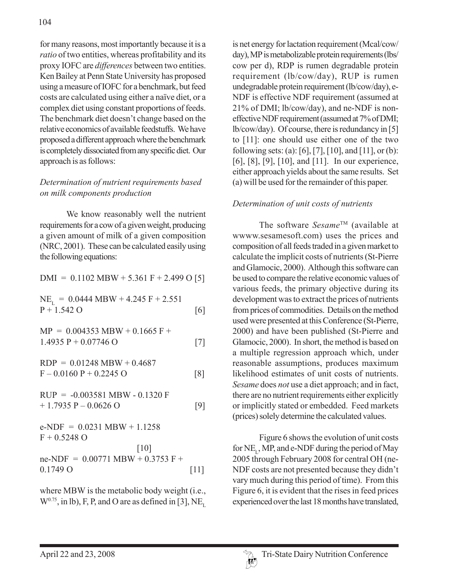for many reasons, most importantly because it is a *ratio* of two entities, whereas profitability and its proxy IOFC are *differences* between two entities. Ken Bailey at Penn State University has proposed using a measure of IOFC for a benchmark, but feed costs are calculated using either a naïve diet, or a complex diet using constant proportions of feeds. The benchmark diet doesn't change based on the relative economics of available feedstuffs. We have proposed a different approach where the benchmark is completely dissociated from any specific diet. Our approach is as follows:

#### *Determination of nutrient requirements based on milk components production*

We know reasonably well the nutrient requirements for a cow of a given weight, producing a given amount of milk of a given composition (NRC, 2001). These can be calculated easily using the following equations:

 $DMI = 0.1102 MBW + 5.361 F + 2.499 O [5]$ 

$$
NE_{L} = 0.0444 MBW + 4.245 F + 2.551
$$
  
P + 1.542 O [6]

 $MP = 0.004353 MBW + 0.1665 F +$  $1.4935 \text{ P} + 0.07746 \text{ O}$  [7]

 $RDP = 0.01248 MBW + 0.4687$  $F - 0.0160 P + 0.2245 O$  [8]

$$
RUP = -0.003581 MBW - 0.1320 F
$$
  
+ 1.7935 P - 0.0626 O [9]

 $e-NDF = 0.0231 MBW + 1.1258$  $F + 0.5248$  O [10]  $ne-NDF = 0.00771 MBW + 0.3753 F +$ 0.1749 O [11]

where MBW is the metabolic body weight (i.e.,  $W<sup>0.75</sup>$ , in lb), F, P, and O are as defined in [3], NE<sub>r</sub> is net energy for lactation requirement (Mcal/cow/ day), MP is metabolizable protein requirements (lbs/ cow per d), RDP is rumen degradable protein requirement (lb/cow/day), RUP is rumen undegradable protein requirement (lb/cow/day), e-NDF is effective NDF requirement (assumed at 21% of DMI; lb/cow/day), and ne-NDF is noneffective NDF requirement (assumed at 7% of DMI; lb/cow/day). Of course, there is redundancy in [5] to [11]: one should use either one of the two following sets: (a): [6], [7], [10], and [11], or (b): [6], [8], [9], [10], and [11]. In our experience, either approach yields about the same results. Set (a) will be used for the remainder of this paper.

#### *Determination of unit costs of nutrients*

The software *Sesame*TM (available at wwww.sesamesoft.com) uses the prices and composition of all feeds traded in a given market to calculate the implicit costs of nutrients (St-Pierre and Glamocic, 2000). Although this software can be used to compare the relative economic values of various feeds, the primary objective during its development was to extract the prices of nutrients from prices of commodities. Details on the method used were presented at this Conference (St-Pierre, 2000) and have been published (St-Pierre and Glamocic, 2000). In short, the method is based on a multiple regression approach which, under reasonable assumptions, produces maximum likelihood estimates of unit costs of nutrients. *Sesame* does *not* use a diet approach; and in fact, there are no nutrient requirements either explicitly or implicitly stated or embedded. Feed markets (prices) solely determine the calculated values.

Figure 6 shows the evolution of unit costs for  $NE_{r}$ , MP, and e-NDF during the period of May 2005 through February 2008 for central OH (ne-NDF costs are not presented because they didn't vary much during this period of time). From this Figure 6, it is evident that the rises in feed prices experienced over the last 18 months have translated,

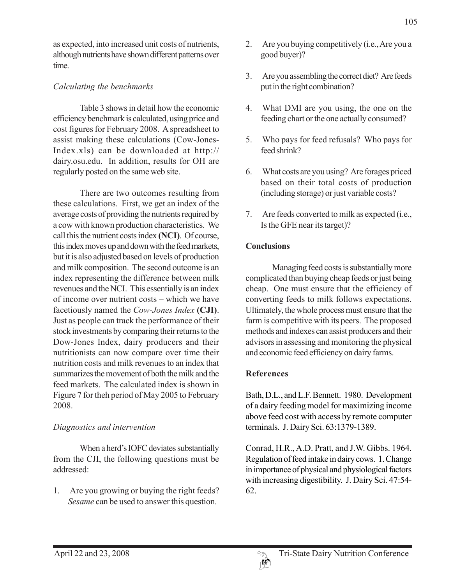as expected, into increased unit costs of nutrients, although nutrients have shown different patterns over time.

#### *Calculating the benchmarks*

Table 3 shows in detail how the economic efficiency benchmark is calculated, using price and cost figures for February 2008. A spreadsheet to assist making these calculations (Cow-Jones-Index.xls) can be downloaded at http:// dairy.osu.edu. In addition, results for OH are regularly posted on the same web site.

There are two outcomes resulting from these calculations. First, we get an index of the average costs of providing the nutrients required by a cow with known production characteristics. We call this the nutrient costs index **(NCI)**. Of course, this index moves up and down with the feed markets, but it is also adjusted based on levels of production and milk composition. The second outcome is an index representing the difference between milk revenues and the NCI. This essentially is an index of income over nutrient costs – which we have facetiously named the *Cow-Jones Index* **(CJI)**. Just as people can track the performance of their stock investments by comparing their returns to the Dow-Jones Index, dairy producers and their nutritionists can now compare over time their nutrition costs and milk revenues to an index that summarizes the movement of both the milk and the feed markets. The calculated index is shown in Figure 7 for theh period of May 2005 to February 2008.

#### *Diagnostics and intervention*

When a herd's IOFC deviates substantially from the CJI, the following questions must be addressed:

1. Are you growing or buying the right feeds? *Sesame* can be used to answer this question.

- 2. Are you buying competitively (i.e., Are you a good buyer)?
- 3. Are you assembling the correct diet? Are feeds put in the right combination?
- 4. What DMI are you using, the one on the feeding chart or the one actually consumed?
- 5. Who pays for feed refusals? Who pays for feed shrink?
- 6. What costs are you using? Are forages priced based on their total costs of production (including storage) or just variable costs?
- 7. Are feeds converted to milk as expected (i.e., Is the GFE near its target)?

#### **Conclusions**

Managing feed costs is substantially more complicated than buying cheap feeds or just being cheap. One must ensure that the efficiency of converting feeds to milk follows expectations. Ultimately, the whole process must ensure that the farm is competitive with its peers. The proposed methods and indexes can assist producers and their advisors in assessing and monitoring the physical and economic feed efficiency on dairy farms.

## **References**

Bath, D.L., and L.F. Bennett. 1980. Development of a dairy feeding model for maximizing income above feed cost with access by remote computer terminals. J. Dairy Sci. 63:1379-1389.

Conrad, H.R., A.D. Pratt, and J.W. Gibbs. 1964. Regulation of feed intake in dairy cows. 1. Change in importance of physical and physiological factors with increasing digestibility. J. Dairy Sci. 47:54- 62.

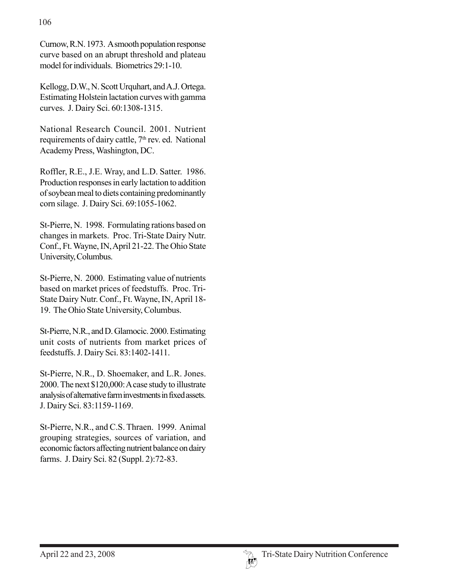Curnow, R.N. 1973. A smooth population response curve based on an abrupt threshold and plateau model for individuals. Biometrics 29:1-10.

Kellogg, D.W., N. Scott Urquhart, and A.J. Ortega. Estimating Holstein lactation curves with gamma curves. J. Dairy Sci. 60:1308-1315.

National Research Council. 2001. Nutrient requirements of dairy cattle, 7<sup>th</sup> rev. ed. National Academy Press, Washington, DC.

Roffler, R.E., J.E. Wray, and L.D. Satter. 1986. Production responses in early lactation to addition of soybean meal to diets containing predominantly corn silage. J. Dairy Sci. 69:1055-1062.

St-Pierre, N. 1998. Formulating rations based on changes in markets. Proc. Tri-State Dairy Nutr. Conf., Ft. Wayne, IN, April 21-22. The Ohio State University, Columbus.

St-Pierre, N. 2000. Estimating value of nutrients based on market prices of feedstuffs. Proc. Tri-State Dairy Nutr. Conf., Ft. Wayne, IN, April 18- 19. The Ohio State University, Columbus.

St-Pierre, N.R., and D. Glamocic. 2000. Estimating unit costs of nutrients from market prices of feedstuffs. J. Dairy Sci. 83:1402-1411.

St-Pierre, N.R., D. Shoemaker, and L.R. Jones. 2000. The next \$120,000: A case study to illustrate analysis of alternative farm investments in fixed assets. J. Dairy Sci. 83:1159-1169.

St-Pierre, N.R., and C.S. Thraen. 1999. Animal grouping strategies, sources of variation, and economic factors affecting nutrient balance on dairy farms. J. Dairy Sci. 82 (Suppl. 2):72-83.

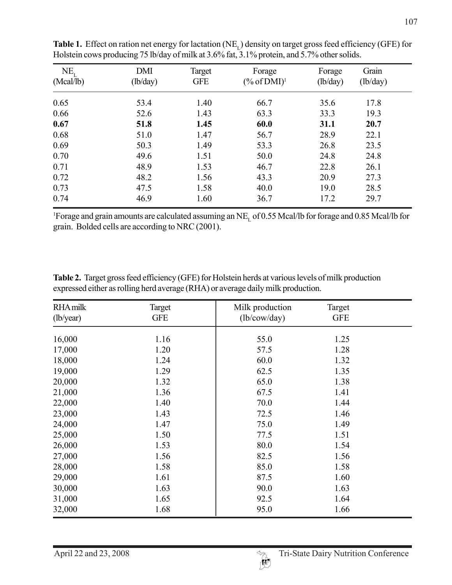| $NE_{t}$<br>(Mcal/lb) | <b>DMI</b><br>(lb/day) | Target<br><b>GFE</b> | Forage<br>$(\%$ of DMI) <sup>1</sup> | Forage<br>(lb/day) | Grain<br>(lb/day) |
|-----------------------|------------------------|----------------------|--------------------------------------|--------------------|-------------------|
| 0.65                  | 53.4                   | 1.40                 | 66.7                                 | 35.6               | 17.8              |
| 0.66                  | 52.6                   | 1.43                 | 63.3                                 | 33.3               | 19.3              |
| 0.67                  | 51.8                   | 1.45                 | 60.0                                 | 31.1               | 20.7              |
| 0.68                  | 51.0                   | 1.47                 | 56.7                                 | 28.9               | 22.1              |
| 0.69                  | 50.3                   | 1.49                 | 53.3                                 | 26.8               | 23.5              |
| 0.70                  | 49.6                   | 1.51                 | 50.0                                 | 24.8               | 24.8              |
| 0.71                  | 48.9                   | 1.53                 | 46.7                                 | 22.8               | 26.1              |
| 0.72                  | 48.2                   | 1.56                 | 43.3                                 | 20.9               | 27.3              |
| 0.73                  | 47.5                   | 1.58                 | 40.0                                 | 19.0               | 28.5              |
| 0.74                  | 46.9                   | 1.60                 | 36.7                                 | 17.2               | 29.7              |

**Table 1.** Effect on ration net energy for lactation (NE<sub>L</sub>) density on target gross feed efficiency (GFE) for Holstein cows producing 75 lb/day of milk at 3.6% fat, 3.1% protein, and 5.7% other solids.

<sup>1</sup>Forage and grain amounts are calculated assuming an  $NE<sub>L</sub>$  of 0.55 Mcal/lb for forage and 0.85 Mcal/lb for grain. Bolded cells are according to NRC (2001).

**Table 2.** Target gross feed efficiency (GFE) for Holstein herds at various levels of milk production expressed either as rolling herd average (RHA) or average daily milk production.

| <b>RHA milk</b> | Target     | Milk production | Target     |  |
|-----------------|------------|-----------------|------------|--|
| (lb/year)       | <b>GFE</b> | (lb/cow/day)    | <b>GFE</b> |  |
| 16,000          | 1.16       | 55.0            | 1.25       |  |
| 17,000          | 1.20       | 57.5            | 1.28       |  |
| 18,000          | 1.24       | 60.0            | 1.32       |  |
| 19,000          | 1.29       | 62.5            | 1.35       |  |
| 20,000          | 1.32       | 65.0            | 1.38       |  |
| 21,000          | 1.36       | 67.5            | 1.41       |  |
| 22,000          | 1.40       | 70.0            | 1.44       |  |
| 23,000          | 1.43       | 72.5            | 1.46       |  |
| 24,000          | 1.47       | 75.0            | 1.49       |  |
| 25,000          | 1.50       | 77.5            | 1.51       |  |
| 26,000          | 1.53       | 80.0            | 1.54       |  |
| 27,000          | 1.56       | 82.5            | 1.56       |  |
| 28,000          | 1.58       | 85.0            | 1.58       |  |
| 29,000          | 1.61       | 87.5            | 1.60       |  |
| 30,000          | 1.63       | 90.0            | 1.63       |  |
| 31,000          | 1.65       | 92.5            | 1.64       |  |
| 32,000          | 1.68       | 95.0            | 1.66       |  |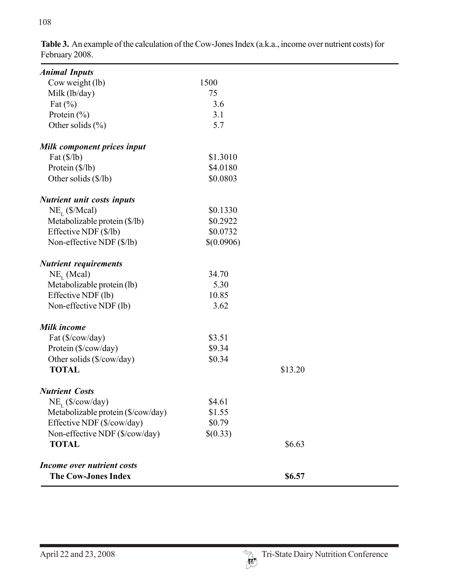| <b>Animal Inputs</b>               |            |         |  |
|------------------------------------|------------|---------|--|
| Cow weight (lb)                    | 1500       |         |  |
| Milk (lb/day)                      | 75         |         |  |
| Fat $(\%)$                         | 3.6        |         |  |
| Protein $(\% )$                    | 3.1        |         |  |
| Other solids $(\% )$               | 5.7        |         |  |
| Milk component prices input        |            |         |  |
| Fat $(\frac{8}{lb})$               | \$1.3010   |         |  |
| Protein (\$/lb)                    | \$4.0180   |         |  |
| Other solids (\$/lb)               | \$0.0803   |         |  |
| <b>Nutrient unit costs inputs</b>  |            |         |  |
| $NE_{L}$ (\$/Mcal)                 | \$0.1330   |         |  |
| Metabolizable protein (\$/lb)      | \$0.2922   |         |  |
| Effective NDF (\$/lb)              | \$0.0732   |         |  |
| Non-effective NDF (\$/lb)          | \$(0.0906) |         |  |
| <b>Nutrient requirements</b>       |            |         |  |
| $NE_{L}$ (Mcal)                    | 34.70      |         |  |
| Metabolizable protein (lb)         | 5.30       |         |  |
| Effective NDF (lb)                 | 10.85      |         |  |
| Non-effective NDF (lb)             | 3.62       |         |  |
| Milk income                        |            |         |  |
| Fat (\$/cow/day)                   | \$3.51     |         |  |
| Protein (\$/cow/day)               | \$9.34     |         |  |
| Other solids (\$/cow/day)          | \$0.34     |         |  |
| <b>TOTAL</b>                       |            | \$13.20 |  |
| <b>Nutrient Costs</b>              |            |         |  |
| $NE_{\tau}$ (\$/cow/day)           | \$4.61     |         |  |
| Metabolizable protein (\$/cow/day) | \$1.55     |         |  |
| Effective NDF (\$/cow/day)         | \$0.79     |         |  |
| Non-effective NDF (\$/cow/day)     | \$(0.33)   |         |  |
| <b>TOTAL</b>                       |            | \$6.63  |  |
| Income over nutrient costs         |            |         |  |
| <b>The Cow-Jones Index</b>         |            | \$6.57  |  |

**Table 3.** An example of the calculation of the Cow-Jones Index (a.k.a., income over nutrient costs) for February 2008.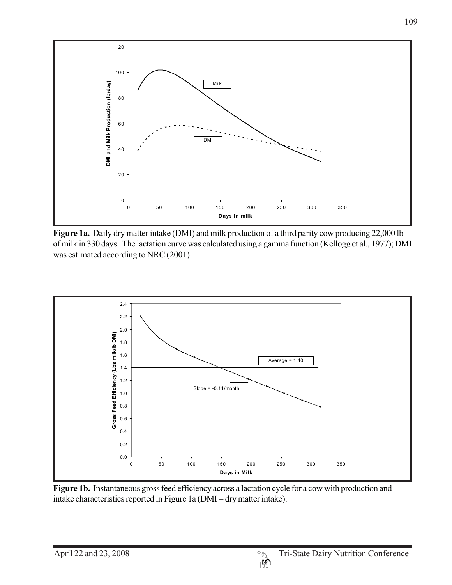

**Figure 1a.** Daily dry matter intake (DMI) and milk production of a third parity cow producing 22,000 lb of milk in 330 days. The lactation curve was calculated using a gamma function (Kellogg et al., 1977); DMI was estimated according to NRC (2001).



**Figure 1b.** Instantaneous gross feed efficiency across a lactation cycle for a cow with production and intake characteristics reported in Figure 1a (DMI = dry matter intake).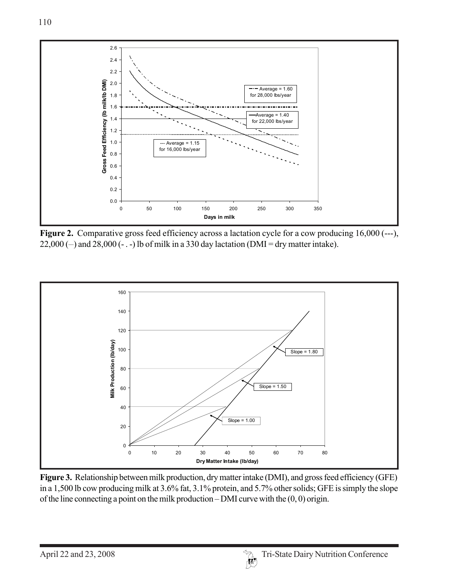

Figure 2. Comparative gross feed efficiency across a lactation cycle for a cow producing 16,000 (---),  $22,000$  (-) and  $28,000$  (-..) lb of milk in a 330 day lactation (DMI = dry matter intake).



**Figure 3.** Relationship between milk production, dry matter intake (DMI), and gross feed efficiency (GFE) in a 1,500 lb cow producing milk at 3.6% fat, 3.1% protein, and 5.7% other solids; GFE is simply the slope of the line connecting a point on the milk production – DMI curve with the (0, 0) origin.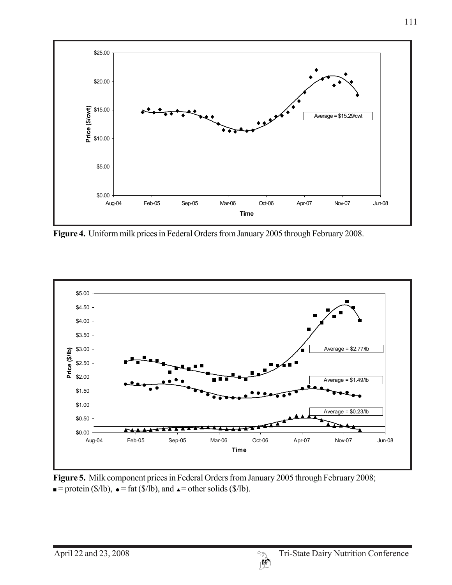

**Figure 4.** Uniform milk prices in Federal Orders from January 2005 through February 2008.



**Figure 5.** Milk component prices in Federal Orders from January 2005 through February 2008;  $\blacksquare$  = protein (\$/lb),  $\blacksquare$  = fat (\$/lb), and  $\blacktriangle$  = other solids (\$/lb).